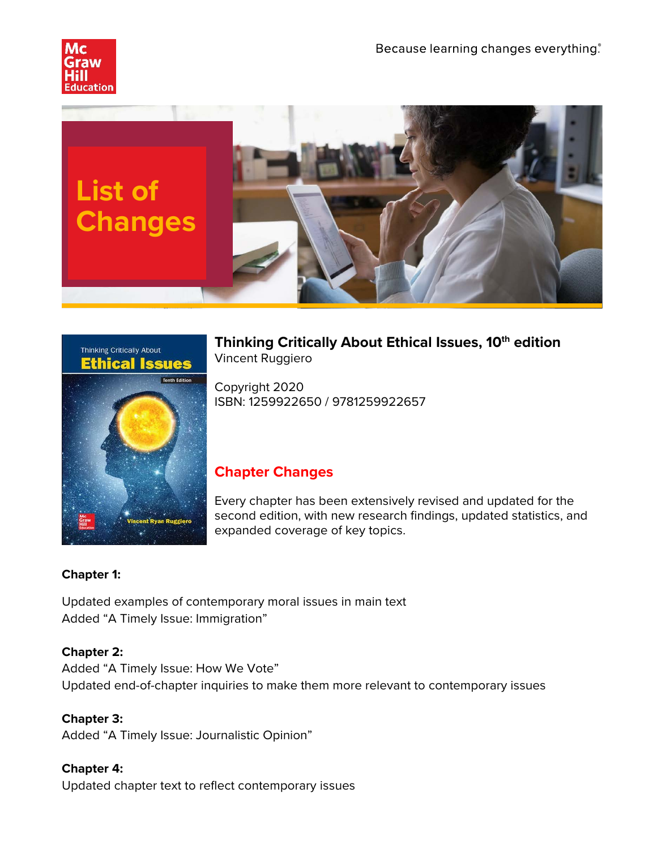





**Thinking Critically About Ethical Issues, 10th edition** Vincent Ruggiero

Copyright 2020 ISBN: 1259922650 / 9781259922657

## **Chapter Changes**

Every chapter has been extensively revised and updated for the second edition, with new research findings, updated statistics, and expanded coverage of key topics.

## **Chapter 1:**

Updated examples of contemporary moral issues in main text Added "A Timely Issue: Immigration"

## **Chapter 2:**

Added "A Timely Issue: How We Vote" Updated end-of-chapter inquiries to make them more relevant to contemporary issues

**Chapter 3:**

Added "A Timely Issue: Journalistic Opinion"

## **Chapter 4:** Updated chapter text to reflect contemporary issues